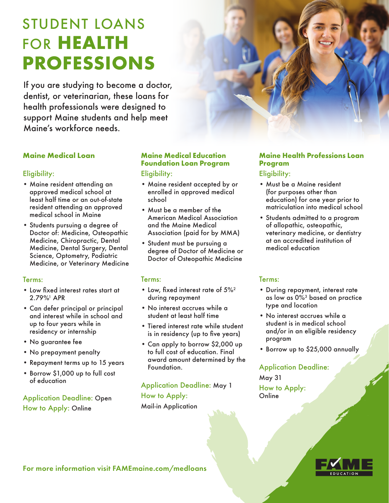# STUDENT LOANS FOR **HEALTH PROFESSIONS**

If you are studying to become a doctor, dentist, or veterinarian, these loans for health professionals were designed to support Maine students and help meet Maine's workforce needs.



# **Maine Medical Loan**

#### Eligibility:

- Maine resident attending an approved medical school at least half time or an out-of-state resident attending an approved medical school in Maine
- Students pursuing a degree of Doctor of: Medicine, Osteopathic Medicine, Chiropractic, Dental Medicine, Dental Surgery, Dental Science, Optometry, Podiatric Medicine, or Veterinary Medicine

#### Terms:

- Low fixed interest rates start at 2.79%1 APR
- Can defer principal or principal and interest while in school and up to four years while in residency or internship
- No guarantee fee
- No prepayment penalty
- Repayment terms up to 15 years
- Borrow \$1,000 up to full cost of education

Application Deadline: Open How to Apply: Online

## **Maine Medical Education Foundation Loan Program** Eligibility:

- Maine resident accepted by or enrolled in approved medical school
- Must be a member of the American Medical Association and the Maine Medical Association (paid for by MMA)
- Student must be pursuing a degree of Doctor of Medicine or Doctor of Osteopathic Medicine

#### Terms:

- Low, fixed interest rate of 5%<sup>2</sup> during repayment
- No interest accrues while a student at least half time
- Tiered interest rate while student is in residency (up to five years)
- Can apply to borrow \$2,000 up to full cost of education. Final award amount determined by the Foundation.

Application Deadline: May 1 How to Apply: Mail-in Application

# **Maine Health Professions Loan Program**

# Eligibility:

- Must be a Maine resident (for purposes other than education) for one year prior to matriculation into medical school
- Students admitted to a program of allopathic, osteopathic, veterinary medicine, or dentistry at an accredited institution of medical education

## Terms:

- During repayment, interest rate as low as 0%3 based on practice type and location
- No interest accrues while a student is in medical school and/or in an eligible residency program
- Borrow up to \$25,000 annually

## Application Deadline:

May 31 How to Apply: **Online** 



For more information visit FAMEmaine.com/medloans